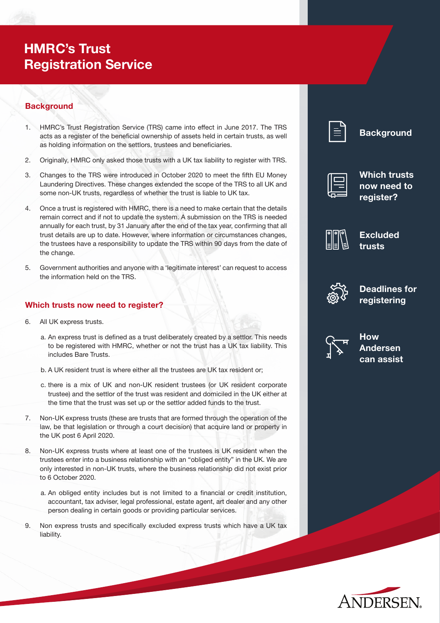# **HMRC's Trust Registration Service**

# **Background**

- 1. HMRC's Trust Registration Service (TRS) came into effect in June 2017. The TRS acts as a register of the beneficial ownership of assets held in certain trusts, as well as holding information on the settlors, trustees and beneficiaries.
- 2. Originally, HMRC only asked those trusts with a UK tax liability to register with TRS.
- 3. Changes to the TRS were introduced in October 2020 to meet the fifth EU Money Laundering Directives. These changes extended the scope of the TRS to all UK and some non-UK trusts, regardless of whether the trust is liable to UK tax.
- 4. Once a trust is registered with HMRC, there is a need to make certain that the details remain correct and if not to update the system. A submission on the TRS is needed annually for each trust, by 31 January after the end of the tax year, confirming that all trust details are up to date. However, where information or circumstances changes, the trustees have a responsibility to update the TRS within 90 days from the date of the change.
- 5. Government authorities and anyone with a 'legitimate interest' can request to access the information held on the TRS.

# **Which trusts now need to register?**

- 6. All UK express trusts.
	- a. An express trust is defined as a trust deliberately created by a settlor. This needs to be registered with HMRC, whether or not the trust has a UK tax liability. This includes Bare Trusts.
	- b. A UK resident trust is where either all the trustees are UK tax resident or:
	- c. there is a mix of UK and non-UK resident trustees (or UK resident corporate trustee) and the settlor of the trust was resident and domiciled in the UK either at the time that the trust was set up or the settlor added funds to the trust.
- 7. Non-UK express trusts (these are trusts that are formed through the operation of the law, be that legislation or through a court decision) that acquire land or property in the UK post 6 April 2020.
- 8. Non-UK express trusts where at least one of the trustees is UK resident when the trustees enter into a business relationship with an "obliged entity" in the UK. We are only interested in non-UK trusts, where the business relationship did not exist prior to 6 October 2020.
	- a. An obliged entity includes but is not limited to a financial or credit institution, accountant, tax adviser, legal professional, estate agent, art dealer and any other person dealing in certain goods or providing particular services.
- 9. Non express trusts and specifically excluded express trusts which have a UK tax liability.

| __<br><b>Service Service</b>                                                                                                                                                                                                     |
|----------------------------------------------------------------------------------------------------------------------------------------------------------------------------------------------------------------------------------|
| and the state of the state of the state of the state of the state of the state of the state of the state of th<br>and the state of the state of the state of the state of the state of the state of the state of the state of th |
| <b>Service Service</b><br>and the state of the state of the state of the state of the state of the state of the state of the state of th                                                                                         |
| <b>Service Service</b>                                                                                                                                                                                                           |
| <b>Service Service</b><br><b>Service Service</b>                                                                                                                                                                                 |
|                                                                                                                                                                                                                                  |

**Background**







**Excluded trusts**



**Deadlines for registering**



**How Andersen can assist** 

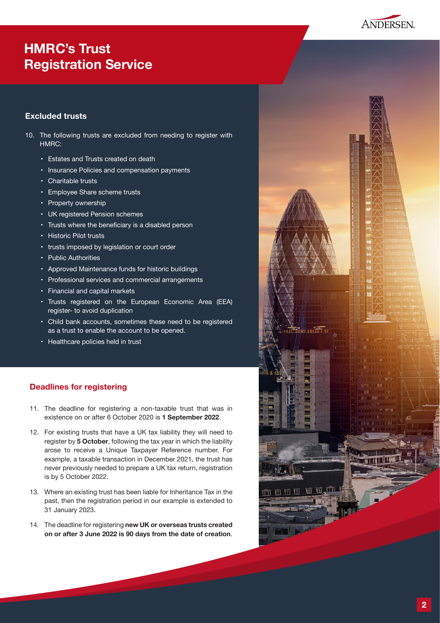

# **HMRC's Trust Registration Service**

# **Excluded trusts**

- 10. The following trusts are excluded from needing to register with HMRC:
	- • Estates and Trusts created on death
	- Insurance Policies and compensation payments
	- • Charitable trusts
	- • Employee Share scheme trusts
	- • Property ownership
	- UK registered Pension schemes
	- Trusts where the beneficiary is a disabled person
	- • Historic Pilot trusts
	- • trusts imposed by legislation or court order
	- • Public Authorities
	- • Approved Maintenance funds for historic buildings
	- Professional services and commercial arrangements
	- • Financial and capital markets
	- Trusts registered on the European Economic Area (EEA) register- to avoid duplication
	- • Child bank accounts, sometimes these need to be registered as a trust to enable the account to be opened.
	- Healthcare policies held in trust

# **Deadlines for registering**

- 11. The deadline for registering a non-taxable trust that was in existence on or after 6 October 2020 is **1 September 2022**.
- 12. For existing trusts that have a UK tax liability they will need to register by **5 October**, following the tax year in which the liability arose to receive a Unique Taxpayer Reference number. For example, a taxable transaction in December 2021, the trust has never previously needed to prepare a UK tax return, registration is by 5 October 2022.
- 13. Where an existing trust has been liable for Inheritance Tax in the past, then the registration period in our example is extended to 31 January 2023.
- 14. The deadline for registering new UK or overseas trusts created **on or after 3 June 2022 is 90 days from the date of creation**.